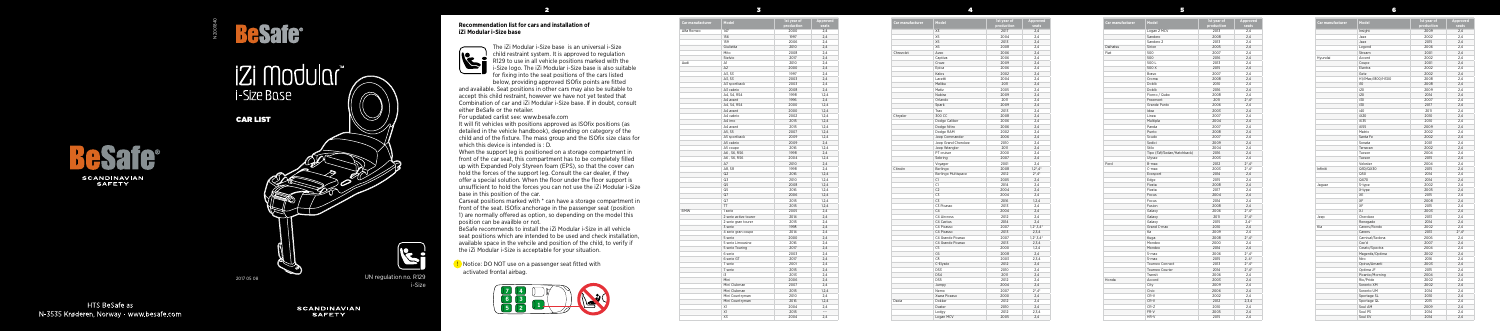



## **iZi Modular** i-Size Base

2

3

4

5

6

## **Recommendation list for cars and installation of iZi Modular i-Size base**



The iZi Modular i-Size base is an universal i-Size child restraint system. It is approved to regulation R129 to use in all vehicle positions marked with the i-Size logo. The iZi Modular i-Size base is also suitable for fixing into the seat positions of the cars listed

below, providing approved ISOfix points are fitted and available. Seat positions in other cars may also be suitable to accept this child restraint, however we have not yet tested that Combination of car and iZi Modular i-Size base. If in doubt, consult either BeSafe or the retailer.

For updated carlist see: www.besafe.com

It will fit vehicles with positions approved as ISOfix positions (as detailed in the vehicle handbook), depending on category of the child and of the fixture. The mass group and the ISOfix size class for which this device is intended is : D.

When the support leg is positioned on a storage compartment in front of the car seat, this compartment has to be completely filled up with Expanded Poly Styreen foam (EPS), so that the cover can hold the forces of the support leg. Consult the car dealer, if they offer a special solution. When the floor under the floor support is unsufficient to hold the forces you can not use the iZi Modular i-Size base in this position of the car.

Carseat positions marked with \* can have a storage compartment in front of the seat. ISOfix anchorage in the passenger seat (position 1) are normally offered as option, so depending on the model this position can be availble or not.

BeSafe recommends to install the iZi Modular i-Size in all vehicle seat positions which are intended to be used and check installation, available space in the vehcile and position of the child, to verify if the iZi Modular i-Size is acceptable for your situation.

| Car manufacturer | Model               | 1st year of<br>production | Approved<br>seats |
|------------------|---------------------|---------------------------|-------------------|
|                  | X3                  | 2017                      | 2,4               |
|                  | X5                  | 2004                      | 2,4               |
|                  | X5                  | 2013                      | 2,4               |
|                  | X6                  | 2008                      | 2,4               |
| Chrevolet        | Aveo                | 2006                      | 2,4               |
|                  | Captiva             | 2006                      | 2,4               |
|                  | Cruze               | 2009                      | 2,4               |
|                  | Epica               | 2006                      | 2,4               |
|                  | Kalos               | 2002                      | 2,4               |
|                  | Lacetti             | 2004                      | 2,4               |
|                  | Malibu              | 2011                      | 2,4               |
|                  | Matiz               | 2005                      | 2,4               |
|                  | Nubira              | 2009                      | 2,4               |
|                  | Orlando             | 2011                      | 2,4               |
|                  | Spark               | 2009                      | 2,4               |
|                  | Trax                | 2013                      | 2,4               |
| Chrysler         | 300 CC              | 2008                      | 2.4               |
|                  | Dodge Caliber       | 2006                      | 2,4               |
|                  | Dodge Nitro         | 2006                      | 2,4               |
|                  | Dodge RAM           | 2002                      | 2,4               |
|                  | Jeep Commander      | 2006                      | 2,4               |
|                  | Jeep Grand Cherokee | 2010                      | 2,4               |
|                  | Jeep Wrangler       | 2011                      | 2,4               |
|                  | PT cruiser          | 2000                      | 2,4               |
|                  | Sebring             | 2007                      | 2,4               |
|                  | Voyager             | 2001                      | 2.4               |
| Citroën          | Berlingo            | 2008                      | $1,2^*$ , 4*      |
|                  | Berlingo Multispace | 2012                      | $2^*$ , $4^*$     |
|                  | C1                  | 2005                      | 2,4               |
|                  | C1                  | 2014                      | 2.4               |
|                  | C <sub>2</sub>      | 2004                      | 2,4               |
|                  | C3                  | 2004                      | 2,4               |
|                  | C3                  | 2016                      | 1, 2, 4           |
|                  | C3 Picasso          | 2013                      | 2,4               |
|                  | C <sub>4</sub>      | 2004                      | 2.4               |
|                  | C4 Aircross         | 2012                      | 2,4               |
|                  | C4 Cactus           | 2014                      | 2,4               |
|                  | C4 Picasso          | 2007                      | $1, 2^*, 3, 4^*$  |
|                  | C4 Picasso          | 2013                      | 2,3,4             |
|                  | C4 Grande Picasso   | 2007                      | $1,2^*,3,4^*$     |
|                  | C4 Grande Picasso   | 2013                      | 2,3,4             |
|                  | C5                  | 2000                      | 1,2,4             |
|                  | C6                  | 2008                      | 2,4               |
|                  | C8                  | 2003                      | 2,3,4             |
|                  | C-Elysée            | 2012                      | 2,4               |
|                  | DS3                 | 2010                      | 2,4               |
|                  | DS4                 | 2011                      | 2,4               |
|                  | DS5                 | 2012                      | 2,4               |
|                  | Jumpy               | 2004                      | 2,4               |
|                  | Nemo                | 2007                      | $2^*$ , $4^*$     |
|                  | Xsara Picasso       | 2000                      | 2,4               |
| Dacia            | Dokker              | 2012                      | 2,4               |
|                  | Duster              | 2010                      | 2,4               |
|                  | Lodgy               | 2012                      | 2,3,4             |
|                  | Logan MCV           | 2005                      | 2,4               |

**D** Notice: DO NOT use on a passenger seat fitted with activated frontal airbag.

| Car manufacturer | Model                     | 1st year of<br>production | Approved<br>seats             |
|------------------|---------------------------|---------------------------|-------------------------------|
|                  | Logan 2 MCV               | 2013                      | 2.4                           |
|                  | Sandero                   | 2008                      | 2,4                           |
|                  | Sandero 2                 | 2013                      | 2.4                           |
| Daihatsu         | Sirion                    | 2005                      | 2.4                           |
| Fiat             | 500                       | 2007                      | 2.4                           |
|                  | 500                       | 2016                      | 2,4                           |
|                  | 500L                      | 2013                      | 2,4                           |
|                  | 500 X                     | 2015                      | 2,4                           |
|                  | Bravo                     | 2007                      | 2.4                           |
|                  | Croma                     | 2008                      | 2,4                           |
|                  | Doblò                     | 2010                      | 2,4                           |
|                  | Doblò                     |                           | 2,4                           |
|                  |                           | 2016                      |                               |
|                  | Fiorno / Qubo             | 2008                      | 2,4                           |
|                  | Freemont                  | 2011                      | $2^* A^*$                     |
|                  | Grande Punto              | 2006                      | 2,4                           |
|                  | Idea                      | 2003                      | 2,4                           |
|                  | Linea                     | 2007                      | 2,4                           |
|                  | Multipla                  | 2004                      | 2,4                           |
|                  | Panda                     | 2007                      | 2,4                           |
|                  | Punto                     | 2008                      | 2,4                           |
|                  | Scudo                     | 2007                      | 2,4                           |
|                  | Sedici                    | 2009                      | 2,4                           |
|                  | Stilo                     | 2004                      | 2,4                           |
|                  | Tipo (SW/Sedan/Hatchback) | 2016                      | 2,4                           |
|                  | Ulysse                    | 2003                      | 2,4                           |
| Ford             | B-max                     | 2012                      | $2^*$ , $4^*$                 |
|                  | C-max                     | 2003                      | $2^*$ , 4 <sup>*</sup>        |
|                  | Ecosport                  | 2014                      | 2,4                           |
|                  | Edge                      | 2015                      | 2,4                           |
|                  | Fiesta                    | 2008                      | 2,4                           |
|                  | Fiesta                    | 2017                      | 2,4                           |
|                  | Focus                     | 2004                      | 2.4                           |
|                  | Focus                     | 2014                      | 2.4                           |
|                  | Fusion                    | 2008                      | 2,4                           |
|                  | Galaxy                    | 2006                      | $2^*$ , 4 $*$                 |
|                  | Galaxy                    | 2011                      | $2^*$ , $4^*$                 |
|                  | Galaxy                    | 2015                      | $2,4*$                        |
|                  | Grand C-max               | 2010                      | 2.4                           |
|                  | Ka                        | 2009                      | 2,4                           |
|                  | Kuga                      | 2008                      |                               |
|                  | Mondeo                    | 2000                      | $2^*$ , 4 <sup>*</sup><br>2,4 |
|                  |                           |                           |                               |
|                  | Mondeo                    | 2014                      | 2,4                           |
|                  | S-max                     | 2006                      | $2^* .4^*$                    |
|                  | S-max                     | 2015                      | $2, 4^*$                      |
|                  | Tourneo Connect           | 2013                      | $2^*$ , $4^*$                 |
|                  | Tourneo Courier           | 2014                      | $2^*$ , $4^*$                 |
|                  | Transit                   | 2006                      | 2,4                           |
| Honda            | Accord                    | 2003                      | 2,4                           |
|                  | City                      | 2009                      | 2,4                           |
|                  | Civic                     | 2006                      | 2,4                           |
|                  | CR-V                      | 2002                      | 2,4                           |
|                  | CR-V                      | 2012                      | 2,3,4                         |
|                  | CR-Z                      | 2010                      | 2,4                           |
|                  | FR-V                      | 2005                      | 2,4                           |
|                  | HR-V                      | 2015                      | 2,4                           |

| Car manufacturer | Model                 | 1st vear of<br>production | Approved<br>seats |
|------------------|-----------------------|---------------------------|-------------------|
| Alfa Romeo       | 147                   | 2000                      | 2,4               |
|                  | 156                   | 1997                      | 2,4               |
|                  | 159                   | 2006                      | 2,4               |
|                  | Giulietta             | 2010                      | 2,4               |
|                  | Mito                  | 2008                      | 2,4               |
|                  | Stelvio               | 2017                      | 2,4               |
| Audi             | A1                    | 2010                      | 2,4               |
|                  | A2                    | 2000                      | 2,4               |
|                  | A3, S3                | 1997                      | 2,4               |
|                  | A3, S3                | 2003                      | 2,4               |
|                  | A3 sportback          | 2003                      | 2,4               |
|                  | A3 cabrio             | 2008                      | 2,4               |
|                  | A4, S4, RS4           | 1998                      | 1,2,4             |
|                  | A4 avant              | 1996                      | 2,4               |
|                  | A4, S4, RS4           | 2000                      | 1,2,4             |
|                  | A4 avant              | 2000                      | 1,2,4             |
|                  | A4 cabrio             | 2002                      | 1,2,4             |
|                  | A4 imo                | 2015                      | 1,2,4             |
|                  | A4 avant              | 2015                      | 1,2,4             |
|                  | A5, S5                | 2007                      | 1,2,4             |
|                  | A5 sportback          | 2009                      | 1,2,4             |
|                  | A5 cabrio             | 2009                      | 2,4               |
|                  | A5 coupe              | 2016                      | 1, 2, 4           |
|                  | A6, S6, RS6           | 1998                      | 2,4               |
|                  | A6, S6, RS6           | 2004                      | 1,2,4             |
|                  | A7                    | 2010                      | 2,4               |
|                  | A8, S8                | 1998                      | 2,4               |
|                  | Q <sub>2</sub>        | 2016                      | 1,2,4             |
|                  | Q3                    | 2010                      | 1.2.4             |
|                  | Q5                    | 2008                      | 1,2,4             |
|                  | Q5                    | 2016                      |                   |
|                  | Q7                    |                           | 1,2,4             |
|                  |                       | 2006                      | 1, 2, 4           |
|                  | $Q$ 7<br>TT           | 2015                      | 1,2,4             |
| <b>BMW</b>       |                       | 2015                      | 1.2.4             |
|                  | 1 serie               | 2005                      | 2,4               |
|                  | 2 serie active tourer | 2014                      | 2,4               |
|                  | 2 serie gran tourer   | 2015                      | 2,4               |
|                  | 3 serie               | 1998                      | 2.4               |
|                  | 4 serie gran coupe    | 2014                      | 2.4               |
|                  | 5 serie               | 2000                      | 2,4               |
|                  | 5 serie Limousine     | 2016                      | 2,4               |
|                  | 5 serie Touring       | 2017                      | 2,4               |
|                  | 6 serie               | 2003                      | 2,4               |
|                  | 6 serie GT            | 2017                      | 2,4               |
|                  | 7 serie               | 2001                      | 2,4               |
|                  | 7 serie               | 2015                      | 2,4               |
|                  | i3                    | 2013                      | 2.4               |
|                  | Mini                  | 2006                      | 2,4               |
|                  | Mini Clubman          | 2007                      | 2,4               |
|                  | Mini Clubman          | 2015                      | 1,2,4             |
|                  | Mini Countryman       | 2010                      | 2,4               |
|                  | Mini Countryman       | 2016                      | 1,2,4             |
|                  | X1                    | 2004                      | 2,4               |
|                  | X1                    | 2015                      | ---               |
|                  | X3                    | 2004                      | 2,4               |



**HTS BeSafe as** N-3535 Krøderen. Norway - www.besafe.com

**SCANDINAVIAN SAFETY** 

CAR LIST

N200184C

UN regulation no. R129 i-Size

2017 05 08



| Car manufacturer | Model             | 1st year of<br>production | Appro<br>sea |
|------------------|-------------------|---------------------------|--------------|
|                  | Insight           | 2009                      | 2,4          |
|                  | Jazz              | 2002                      | 2,4          |
|                  | Jazz              | 2015                      | 2,4          |
|                  | Legend            | 2006                      | 2,4          |
|                  | Stream            | 2001                      | 2,4          |
| Hyundai          | Accent            | 2002                      | 2,4          |
|                  | Coupe             | 2001                      | 2,4          |
|                  | Elantra           | 2002                      | 2,4          |
|                  | Getz              | 2002                      | 2,4          |
|                  | H1/iMax/i800/H300 | 2008                      | 2,4          |
|                  | i10               | 2008                      | 2,4          |
|                  | i20               | 2009                      | 2,4          |
|                  | i20               | 2014                      | 2,4          |
|                  | i30               | 2007                      | 2,4          |
|                  | i30               | 2017                      | 2,4          |
|                  | i40               | 2011                      | 2,4          |
|                  | iX20              | 2010                      | 2,4          |
|                  | iX35              | 2010                      |              |
|                  | iX55              | 2009                      | 2,4<br>2,4   |
|                  |                   |                           |              |
|                  | Matrix            | 2002                      | 2,4          |
|                  | Santa Fe          | 2002                      | 2,4          |
|                  | Sonata            | 2001                      | 2,4          |
|                  | Terracan          | 2002                      | 2,4          |
|                  | Tucson            | 2004                      | 2,4          |
|                  | Tucson            | 2015                      | 2,4          |
|                  | Veloster          | 2004                      | 2,4          |
| Infiniti         | Q30/QX30          | 2015                      | 2,4          |
|                  | Q50               | 2014                      | 2,4          |
|                  | QX70              | 2014                      | 2,4          |
| Jaguar           | S-type            | 2002                      | 2,4          |
|                  | X-type            | 2005                      | 2,4          |
|                  | XE                | 2015                      | 2,4          |
|                  | XF                | 2008                      | 2,4          |
|                  | XF                | 2015                      | 2,4          |
|                  | ΧJ                | 2003                      | 2,4          |
| Jeep             | Cherokee          | 2013                      | 2,4          |
|                  | Renegade          | 2014                      | 2,4          |
| Kia              | Carens/Rondo      | 2002                      | 2,4          |
|                  | Carens            | 2013                      | $2^*$ ,4     |
|                  | Carnival/Sedona   | 2006                      | 2,4          |
|                  | Cee'd             | 2007                      | 2,4          |
|                  | Cerato/Spectra    | 2004                      | 2,4          |
|                  | Magentis/Optima   | 2002                      | 2,4          |
|                  | Niro              | 2016                      | 2,4          |
|                  | Opirus/Amanti     | 2003                      | 2,4          |
|                  | Optima JF         | 2015                      | 2,4          |
|                  |                   |                           |              |
|                  | Picanto/Morning   | 2004                      | 2,4          |
|                  | Rio/Pride         | 2002                      | 2,4          |
|                  | Sorento XM        | 2002                      | 2,4          |
|                  | Sorento UM        | 2014                      | 2,4          |
|                  | Sportage SL       | 2010                      | 2,4          |
|                  | Sportage QL       | 2015                      | 2,4          |
|                  | Soul AM           | 2009                      | 2,4          |
|                  | Soul PS           | 2014                      | 2,4          |
|                  | Soul EV           | 2014                      | 2,4          |

| Model             | 1st year of  | <b>Approved</b> |
|-------------------|--------------|-----------------|
|                   | production   | seats           |
| Insight           | 2009<br>2002 | 2,4<br>2,4      |
| Jazz<br>Jazz      | 2015         | 2,4             |
| Legend            | 2006         | 2,4             |
| Stream            | 2001         | 2,4             |
| Accent            | 2002         | 2,4             |
| Coupe             | 2001         | 2,4             |
| Elantra           | 2002         | 2,4             |
| Getz              | 2002         | 2,4             |
| H1/iMax/i800/H300 | 2008         | 2,4             |
| i10               | 2008         | 2,4             |
| i20               | 2009         | 2,4             |
| i20               | 2014         | 2,4             |
| i30               | 2007         | 2,4             |
| i30               | 2017         | 2,4             |
| i40               | 2011         | 2,4             |
| iX20              | 2010         | 2,4             |
| iX35              | 2010         | 2,4             |
| iX55              | 2009         | 2,4             |
| Matrix            | 2002         | 2,4             |
| Santa Fe          | 2002         | 2,4             |
| Sonata            | 2001         | 2,4             |
| Terracan          | 2002         | 2,4             |
| Tucson            | 2004         | 2,4             |
| Tucson            | 2015         | 2,4             |
| Veloster          | 2004         | 2,4             |
| Q30/QX30          | 2015         | 2,4             |
| Q50               | 2014         | 2,4             |
| QX70              | 2014         | 2,4             |
| S-type            | 2002         | 2,4             |
| X-type            | 2005         | 2,4             |
| ХE                | 2015         | 2,4             |
| XF                | 2008         | 2,4             |
| XF                | 2015         | 2,4             |
| ΧJ                | 2003         | 2,4             |
| Cherokee          | 2013         | 2,4             |
| Renegade          | 2014         | 2,4             |
| Carens/Rondo      | 2002         | 2,4             |
| Carens            | 2013         | $2^*$ , 4 $*$   |
| Carnival/Sedona   | 2006         | 2,4             |
| Cee'd             | 2007         | 2,4             |
| Cerato/Spectra    | 2004         | 2,4             |
| Magentis/Optima   | 2002         | 2,4             |
| Niro              | 2016         | 2,4             |
| Opirus/Amanti     | 2003         | 2,4             |
| Optima JF         | 2015         | 2,4             |
| Picanto/Morning   | 2004         | 2,4             |
| Rio/Pride         | 2002         | 2,4             |
| Sorento XM        | 2002         | 2,4             |
| Sorento UM        | 2014         | 2,4             |
| Sportage SL       | 2010         | 2,4             |
| Sportage QL       | 2015         | 2,4             |
| Soul AM           | 2009         | 2,4             |
| Soul PS           | 2014         | 2,4             |
| Soul EV           | 2014         | 2,4             |
|                   |              |                 |